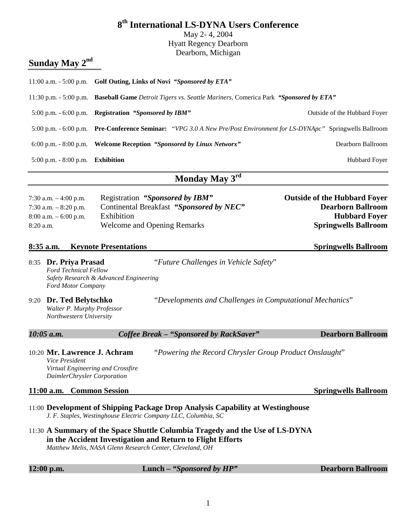|                                                                                           |                                        | 8 <sup>th</sup> International LS-DYNA Users Conference<br>May 2-4, 2004<br><b>Hyatt Regency Dearborn</b>                                                                                               |                                                                                                                        |
|-------------------------------------------------------------------------------------------|----------------------------------------|--------------------------------------------------------------------------------------------------------------------------------------------------------------------------------------------------------|------------------------------------------------------------------------------------------------------------------------|
|                                                                                           |                                        | Dearborn, Michigan                                                                                                                                                                                     |                                                                                                                        |
| Sunday May 2 <sup>nd</sup>                                                                |                                        |                                                                                                                                                                                                        |                                                                                                                        |
|                                                                                           |                                        | 11:00 a.m. - 5:00 p.m. Golf Outing, Links of Novi "Sponsored by ETA"                                                                                                                                   |                                                                                                                        |
|                                                                                           |                                        | 11:30 p.m. - 5:00 p.m. Baseball Game Detroit Tigers vs. Seattle Mariners, Comerica Park "Sponsored by ETA"                                                                                             |                                                                                                                        |
| 5:00 p.m. - 6:00 p.m. Registration "Sponsored by IBM"                                     |                                        |                                                                                                                                                                                                        | Outside of the Hubbard Foyer                                                                                           |
|                                                                                           |                                        |                                                                                                                                                                                                        | 5:00 p.m. - 6:00 p.m. Pre-Conference Seminar: "VPG 3.0 A New Pre/Post Environment for LS-DYNApc" Springwells Ballroom  |
| $6:00$ p.m. $-8:00$ p.m.                                                                  |                                        | <b>Welcome Reception "Sponsored by Linux Networx"</b>                                                                                                                                                  | Dearborn Ballroom                                                                                                      |
| 5:00 p.m. - 8:00 p.m. Exhibition                                                          |                                        | Hubbard Foyer                                                                                                                                                                                          |                                                                                                                        |
|                                                                                           |                                        | Monday May 3rd                                                                                                                                                                                         |                                                                                                                        |
| 7:30 a.m. $-4:00$ p.m.<br>7:30 a.m. $-8:20$ p.m.<br>$8:00$ a.m. $-6:00$ p.m.<br>8:20 a.m. | Exhibition                             | Registration "Sponsored by IBM"<br>Continental Breakfast "Sponsored by NEC"<br><b>Welcome and Opening Remarks</b>                                                                                      | <b>Outside of the Hubbard Foyer</b><br><b>Dearborn Ballroom</b><br><b>Hubbard Foyer</b><br><b>Springwells Ballroom</b> |
| $8:35$ a.m.                                                                               | <b>Keynote Presentations</b>           |                                                                                                                                                                                                        | <b>Springwells Ballroom</b>                                                                                            |
| 8:35 Dr. Priya Prasad<br><b>Ford Technical Fellow</b><br>Ford Motor Company               | Safety Research & Advanced Engineering | "Future Challenges in Vehicle Safety"                                                                                                                                                                  |                                                                                                                        |
| Dr. Ted Belytschko<br>9:20<br>Walter P. Murphy Professor<br>Northwestern University       |                                        | "Developments and Challenges in Computational Mechanics"                                                                                                                                               |                                                                                                                        |
| 10:05 a.m.                                                                                |                                        | Coffee Break - "Sponsored by RackSaver"                                                                                                                                                                | <b>Dearborn Ballroom</b>                                                                                               |
| 10:20 Mr. Lawrence J. Achram<br>Vice President<br>DaimlerChrysler Corporation             | Virtual Engineering and Crossfire      | "Powering the Record Chrysler Group Product Onslaught"                                                                                                                                                 |                                                                                                                        |
| 11:00 a.m. Common Session                                                                 |                                        |                                                                                                                                                                                                        | <b>Springwells Ballroom</b>                                                                                            |
|                                                                                           |                                        | 11:00 Development of Shipping Package Drop Analysis Capability at Westinghouse<br>J. F. Staples, Westinghouse Electric Company LLC, Columbia, SC                                                       |                                                                                                                        |
|                                                                                           |                                        | 11:30 A Summary of the Space Shuttle Columbia Tragedy and the Use of LS-DYNA<br>in the Accident Investigation and Return to Flight Efforts<br>Matthew Melis, NASA Glenn Research Center, Cleveland, OH |                                                                                                                        |
| 12:00 p.m.                                                                                |                                        | Lunch - "Sponsored by HP"                                                                                                                                                                              | <b>Dearborn Ballroom</b>                                                                                               |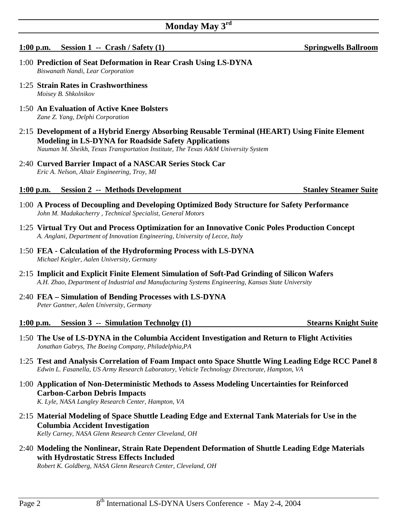# **Monday May 3rd**

## **1:00 p.m.** Session 1 -- Crash / Safety (1) Springwells Ballroom

- 1:00 **Prediction of Seat Deformation in Rear Crash Using LS-DYNA**   *Biswanath Nandi, Lear Corporation*
- 1:25 **Strain Rates in Crashworthiness**   *Moisey B. Shkolnikov*
- 1:50 **An Evaluation of Active Knee Bolsters**   *Zane Z. Yang, Delphi Corporation*
- 2:15 **Development of a Hybrid Energy Absorbing Reusable Terminal (HEART) Using Finite Element Modeling in LS-DYNA for Roadside Safety Applications**   *Nauman M. Sheikh, Texas Transportation Institute, The Texas A&M University System*
- 2:40 **Curved Barrier Impact of a NASCAR Series Stock Car**   *Eric A. Nelson, Altair Engineering, Troy, MI*

### **1:00 p.m.** Session 2 -- Methods Development Stanley Steamer Suite

- 1:00 **A Process of Decoupling and Developing Optimized Body Structure for Safety Performance**   *John M. Madakacherry , Technical Specialist, General Motors*
- 1:25 **Virtual Try Out and Process Optimization for an Innovative Conic Poles Production Concept**   *A. Anglani, Department of Innovation Engineering, University of Lecce, Italy*
- 1:50 **FEA Calculation of the Hydroforming Process with LS-DYNA**  *Michael Keigler, Aalen University, Germany*
- 2:15 **Implicit and Explicit Finite Element Simulation of Soft-Pad Grinding of Silicon Wafers**   *A.H. Zhao, Department of Industrial and Manufacturing Systems Engineering, Kansas State University*
- 2:40 **FEA Simulation of Bending Processes with LS-DYNA**  *Peter Gantner, Aalen University, Germany*

#### **1:00 p.m. Session 3 -- Simulation Technolgy (1) Stearns Knight Suite**

- 1:50 **The Use of LS-DYNA in the Columbia Accident Investigation and Return to Flight Activities**   *Jonathan Gabrys, The Boeing Company, Philadelphia,PA*
- 1:25 **Test and Analysis Correlation of Foam Impact onto Space Shuttle Wing Leading Edge RCC Panel 8**   *Edwin L. Fasanella, US Army Research Laboratory, Vehicle Technology Directorate, Hampton, VA*
- 1:00 **Application of Non-Deterministic Methods to Assess Modeling Uncertainties for Reinforced Carbon-Carbon Debris Impacts**   *K. Lyle, NASA Langley Research Center, Hampton, VA*
- 2:15 **Material Modeling of Space Shuttle Leading Edge and External Tank Materials for Use in the Columbia Accident Investigation**   *Kelly Carney, NASA Glenn Research Center Cleveland, OH*
- 2:40 **Modeling the Nonlinear, Strain Rate Dependent Deformation of Shuttle Leading Edge Materials with Hydrostatic Stress Effects Included**

 *Robert K. Goldberg, NASA Glenn Research Center, Cleveland, OH*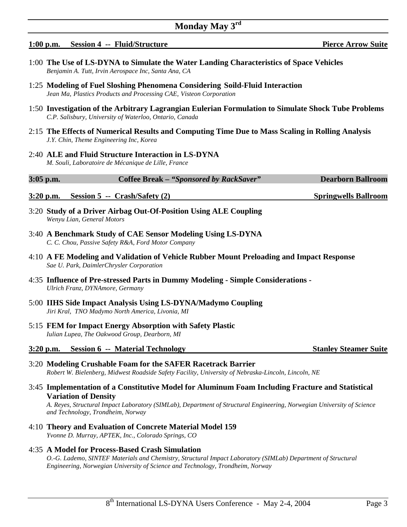#### **1:00 p.m. Session 4 -- Fluid/Structure Pierce Arrow Suite**

- 
- 1:00 **The Use of LS-DYNA to Simulate the Water Landing Characteristics of Space Vehicles**   *Benjamin A. Tutt, Irvin Aerospace Inc, Santa Ana, CA*
- 1:25 **Modeling of Fuel Sloshing Phenomena Considering Soild-Fluid Interaction**   *Jean Ma, Plastics Products and Processing CAE, Visteon Corporation*
- 1:50 **Investigation of the Arbitrary Lagrangian Eulerian Formulation to Simulate Shock Tube Problems**   *C.P. Salisbury, University of Waterloo, Ontario, Canada*
- 2:15 **The Effects of Numerical Results and Computing Time Due to Mass Scaling in Rolling Analysis**   *J.Y. Chin, Theme Engineering Inc, Korea*
- 2:40 **ALE and Fluid Structure Interaction in LS-DYNA**   *M. Souli, Laboratoire de Mécanique de Lille, France*

#### **3:05 p.m. Coffee Break** *– "Sponsored by RackSaver"* **Dearborn Ballroom**

#### **3:20 p.m. Session 5 -- Crash/Safety (2) Springwells Ballroom**

- 3:20 **Study of a Driver Airbag Out-Of-Position Using ALE Coupling**   *Wenyu Lian, General Motors*
- 3:40 **A Benchmark Study of CAE Sensor Modeling Using LS-DYNA**   *C. C. Chou, Passive Safety R&A, Ford Motor Company*
- 4:10 **A FE Modeling and Validation of Vehicle Rubber Mount Preloading and Impact Response**   *Sae U. Park, DaimlerChrysler Corporation*
- 4:35 **Influence of Pre-stressed Parts in Dummy Modeling Simple Considerations**   *Ulrich Franz, DYNAmore, Germany*
- 5:00 **IIHS Side Impact Analysis Using LS-DYNA/Madymo Coupling**   *Jiri Kral, TNO Madymo North America, Livonia, MI*
- 5:15 **FEM for Impact Energy Absorption with Safety Plastic**   *Iulian Lupea, The Oakwood Group, Dearborn, MI*

#### **3:20 p.m. Session 6 -- Material Technology Stanley Steamer Suite**

3:20 **Modeling Crushable Foam for the SAFER Racetrack Barrier**   *Robert W. Bielenberg, Midwest Roadside Safety Facility, University of Nebraska-Lincoln, Lincoln, NE*

#### 3:45 **Implementation of a Constitutive Model for Aluminum Foam Including Fracture and Statistical Variation of Density**

 *A. Reyes, Structural Impact Laboratory (SIMLab), Department of Structural Engineering, Norwegian University of Science and Technology, Trondheim, Norway*

4:10 **Theory and Evaluation of Concrete Material Model 159**   *Yvonne D. Murray, APTEK, Inc., Colorado Springs, CO*

#### 4:35 **A Model for Process-Based Crash Simulation**

 *O.-G. Lademo, SINTEF Materials and Chemistry, Structural Impact Laboratory (SIMLab) Department of Structural Engineering, Norwegian University of Science and Technology, Trondheim, Norway*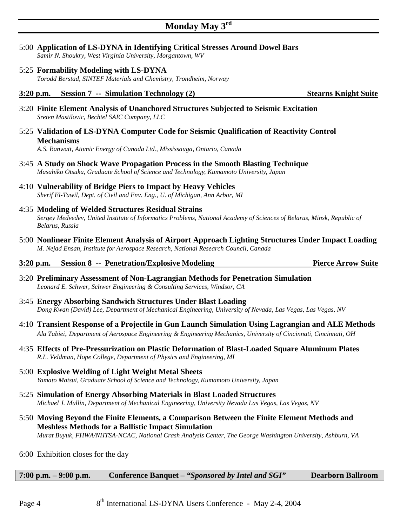- 5:00 **Application of LS-DYNA in Identifying Critical Stresses Around Dowel Bars**   *Samir N. Shoukry, West Virginia University, Morgantown, WV*
- 5:25 **Formability Modeling with LS-DYNA**  *Torodd Berstad, SINTEF Materials and Chemistry, Trondheim, Norway*
- **3:20 p.m. Session 7 -- Simulation Technology (2) Stearns Knight Suite**
- 3:20 **Finite Element Analysis of Unanchored Structures Subjected to Seismic Excitation**   *Sreten Mastilovic, Bechtel SAIC Company, LLC*
- 5:25 **Validation of LS-DYNA Computer Code for Seismic Qualification of Reactivity Control Mechanisms**

 *A.S. Banwatt, Atomic Energy of Canada Ltd., Mississauga, Ontario, Canada*

- 3:45 **A Study on Shock Wave Propagation Process in the Smooth Blasting Technique**   *Masahiko Otsuka, Graduate School of Science and Technology, Kumamoto University, Japan*
- 4:10 **Vulnerability of Bridge Piers to Impact by Heavy Vehicles**   *Sherif El-Tawil, Dept. of Civil and Env. Eng., U. of Michigan, Ann Arbor, MI*
- 4:35 **Modeling of Welded Structures Residual Strains**   *Sergey Medvedev, United Institute of Informatics Problems, National Academy of Sciences of Belarus, Minsk, Republic of Belarus, Russia*
- 5:00 **Nonlinear Finite Element Analysis of Airport Approach Lighting Structures Under Impact Loading**   *M. Nejad Ensan, Institute for Aerospace Research, National Research Council, Canada*

#### **3:20 p.m.** Session 8 -- Penetration/Explosive Modeling Pierce Arrow Suite

- 3:20 **Preliminary Assessment of Non-Lagrangian Methods for Penetration Simulation**   *Leonard E. Schwer, Schwer Engineering & Consulting Services, Windsor, CA*
- 3:45 **Energy Absorbing Sandwich Structures Under Blast Loading**   *Dong Kwan (David) Lee, Department of Mechanical Engineering, University of Nevada, Las Vegas, Las Vegas, NV*
- 4:10 **Transient Response of a Projectile in Gun Launch Simulation Using Lagrangian and ALE Methods**   *Ala Tabiei, Department of Aerospace Engineering & Engineering Mechanics, University of Cincinnati, Cincinnati, OH*
- 4:35 **Effects of Pre-Pressurization on Plastic Deformation of Blast-Loaded Square Aluminum Plates**   *R.L. Veldman, Hope College, Department of Physics and Engineering, MI*
- 5:00 **Explosive Welding of Light Weight Metal Sheets**   *Yamato Matsui, Graduate School of Science and Technology, Kumamoto University, Japan*
- 5:25 **Simulation of Energy Absorbing Materials in Blast Loaded Structures**   *Michael J. Mullin, Department of Mechanical Engineering, University Nevada Las Vegas, Las Vegas, NV*
- 5:50 **Moving Beyond the Finite Elements, a Comparison Between the Finite Element Methods and Meshless Methods for a Ballistic Impact Simulation**   *Murat Buyuk, FHWA/NHTSA-NCAC, National Crash Analysis Center, The George Washington University, Ashburn, VA*
- 6:00 Exhibition closes for the day

### **7:00 p.m. – 9:00 p.m. Conference Banquet** *– "Sponsored by Intel and SGI"* **Dearborn Ballroom**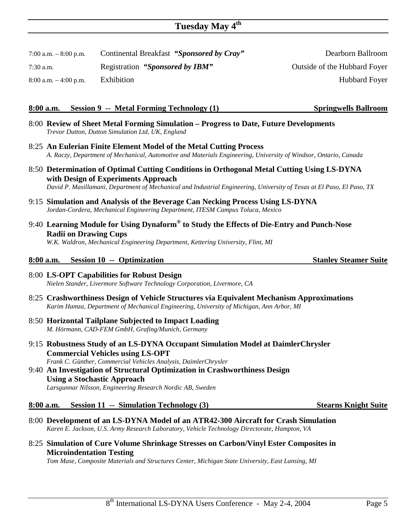# **Tuesday May 4th**

7:00 a.m. – 8:00 p.m. Continental Breakfast *"Sponsored by Cray"* Dearborn Ballroom

7:30 a.m. Registration *"Sponsored by IBM"* Outside of the Hubbard Foyer

8:00 a.m.  $-4:00$  p.m. Exhibition Hubbard Foyer

# **8:00 a.m. Session 9 -- Metal Forming Technology (1) Springwells Ballroom**

- 8:00 **Review of Sheet Metal Forming Simulation Progress to Date, Future Developments**   *Trevor Dutton, Dutton Simulation Ltd, UK, England*
- 8:25 **An Eulerian Finite Element Model of the Metal Cutting Process**   *A. Raczy, Department of Mechanical, Automotive and Materials Engineering, University of Windsor, Ontario, Canada*
- 8:50 **Determination of Optimal Cutting Conditions in Orthogonal Metal Cutting Using LS-DYNA with Design of Experiments Approach**   *David P. Masillamani, Department of Mechanical and Industrial Engineering, University of Texas at El Paso, El Paso, TX*
- 9:15 **Simulation and Analysis of the Beverage Can Necking Process Using LS-DYNA**   *Jordan-Cordera, Mechanical Engineering Department, ITESM Campus Toluca, Mexico*
- 9:40 **Learning Module for Using Dynaform® to Study the Effects of Die-Entry and Punch-Nose Radii on Drawing Cups**

 *W.K. Waldron, Mechanical Engineering Department, Kettering University, Flint, MI*

# **8:00 a.m.** Session 10 -- Optimization Stanley Steamer Suite

#### 8:00 **LS-OPT Capabilities for Robust Design**   *Nielen Stander, Livermore Software Technology Corporation, Livermore, CA*

- 8:25 **Crashworthiness Design of Vehicle Structures via Equivalent Mechanism Approximations**   *Karim Hamza, Department of Mechanical Engineering, University of Michigan, Ann Arbor, MI*
- 8:50 **Horizontal Tailplane Subjected to Impact Loading**   *M. Hörmann, CAD-FEM GmbH, Grafing/Munich, Germany*
- 9:15 **Robustness Study of an LS-DYNA Occupant Simulation Model at DaimlerChrysler Commercial Vehicles using LS-OPT**   *Frank C. Günther, Commercial Vehicles Analysis, DaimlerChrysler*
- 9:40 **An Investigation of Structural Optimization in Crashworthiness Design Using a Stochastic Approach**   *Larsgunnar Nilsson, Engineering Research Nordic AB, Sweden*

## **8:00 a.m. Session 11 -- Simulation Technology (3) Stearns Knight Suite**

- 8:00 **Development of an LS-DYNA Model of an ATR42-300 Aircraft for Crash Simulation**   *Karen E. Jackson, U.S. Army Research Laboratory, Vehicle Technology Directorate, Hampton, VA*
- 8:25 **Simulation of Cure Volume Shrinkage Stresses on Carbon/Vinyl Ester Composites in Microindentation Testing**

 *Tom Mase, Composite Materials and Structures Center, Michigan State University, East Lansing, MI*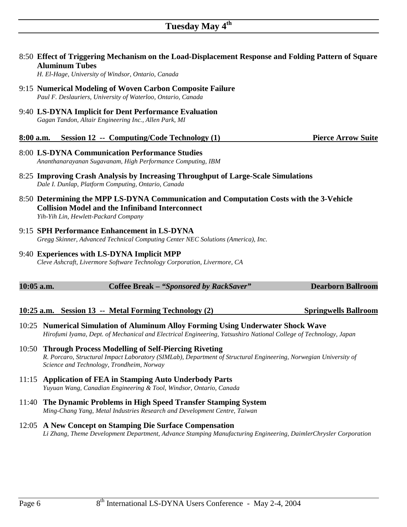8:50 **Effect of Triggering Mechanism on the Load-Displacement Response and Folding Pattern of Square** 

- **Aluminum Tubes**   *H. El-Hage, University of Windsor, Ontario, Canada*  9:15 **Numerical Modeling of Woven Carbon Composite Failure**   *Paul F. Deslauriers, University of Waterloo, Ontario, Canada* 9:40 **LS-DYNA Implicit for Dent Performance Evaluation**   *Gagan Tandon, Altair Engineering Inc., Allen Park, MI* **8:00 a.m. Session 12 -- Computing/Code Technology (1) Pierce Arrow Suite** 8:00 **LS-DYNA Communication Performance Studies**   *Ananthanarayanan Sugavanam, High Performance Computing, IBM* 8:25 **Improving Crash Analysis by Increasing Throughput of Large-Scale Simulations**   *Dale I. Dunlap, Platform Computing, Ontario, Canada* 8:50 **Determining the MPP LS-DYNA Communication and Computation Costs with the 3-Vehicle Collision Model and the Infiniband Interconnect**   *Yih-Yih Lin, Hewlett-Packard Company* 9:15 **SPH Performance Enhancement in LS-DYNA**   *Gregg Skinner, Advanced Technical Computing Center NEC Solutions (America), Inc.* 9:40 **Experiences with LS-DYNA Implicit MPP**
	- *Cleve Ashcraft, Livermore Software Technology Corporation, Livermore, CA*

| $10:05$ a.m. | Coffee Break – "Sponsored by RackSaver" | <b>Dearborn Ballroom</b> |
|--------------|-----------------------------------------|--------------------------|

# **10:25 a.m.** Session 13 -- Metal Forming Technology (2) Springwells Ballroom

- 10:25 **Numerical Simulation of Aluminum Alloy Forming Using Underwater Shock Wave**  *Hirofumi Iyama, Dept. of Mechanical and Electrical Engineering, Yatsushiro National College of Technology, Japan*
- 10:50 **Through Process Modelling of Self-Piercing Riveting**  *R. Porcaro, Structural Impact Laboratory (SIMLab), Department of Structural Engineering, Norwegian University of Science and Technology, Trondheim, Norway*
- 11:15 **Application of FEA in Stamping Auto Underbody Parts**   *Yuyuan Wang, Canadian Engineering & Tool, Windsor, Ontario, Canada*
- 11:40 **The Dynamic Problems in High Speed Transfer Stamping System**   *Ming-Chang Yang, Metal Industries Research and Development Centre, Taiwan*
- 12:05 **A New Concept on Stamping Die Surface Compensation**  *Li Zhang, Theme Development Department, Advance Stamping Manufacturing Engineering, DaimlerChrysler Corporation*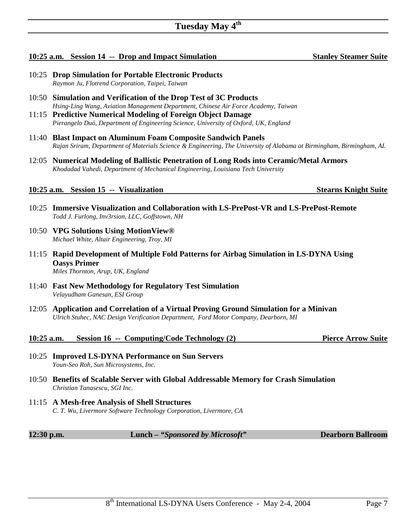# **10:25 a.m.** Session 14 -- Drop and Impact Simulation Stanley Steamer Suite

- 10:25 **Drop Simulation for Portable Electronic Products**   *Raymon Ju, Flotrend Corporation, Taipei, Taiwan*
- 10:50 **Simulation and Verification of the Drop Test of 3C Products**  *Hsing-Ling Wang, Aviation Management Department, Chinese Air Force Academy, Taiwan*
- 11:15 **Predictive Numerical Modeling of Foreign Object Damage**   *Pierangelo Duó, Department of Engineering Science, University of Oxford, UK, England*
- 11:40 **Blast Impact on Aluminum Foam Composite Sandwich Panels**   *Rajan Sriram, Department of Materials Science & Engineering, The University of Alabama at Birmingham, Birmingham, AL*
- 12:05 **Numerical Modeling of Ballistic Penetration of Long Rods into Ceramic/Metal Armors**  *Khodadad Vahedi, Department of Mechanical Engineering, Louisiana Tech University*

# **10:25 a.m.** Session 15 -- Visualization Stearns Knight Suite Stearns Knight Suite

- 10:25 **Immersive Visualization and Collaboration with LS-PrePost-VR and LS-PrePost-Remote**   *Todd J. Furlong, Inv3rsion, LLC, Goffstown, NH*
- 10:50 **VPG Solutions Using MotionView®**   *Michael White, Altair Engineering, Troy, MI*
- 11:15 **Rapid Development of Multiple Fold Patterns for Airbag Simulation in LS-DYNA Using Oasys Primer**   *Miles Thornton, Arup, UK, England*
- 11:40 **Fast New Methodology for Regulatory Test Simulation**   *Velayudham Ganesan, ESI Group*
- 12:05 **Application and Correlation of a Virtual Proving Ground Simulation for a Minivan**   *Ulrich Stuhec, NAC Design Verification Department, Ford Motor Company, Dearborn, MI*

# **10:25 a.m. Session 16 -- Computing/Code Technology (2) Pierce Arrow Suite**

- 10:25 **Improved LS-DYNA Performance on Sun Servers**   *Youn-Seo Roh, Sun Microsystems, Inc.*
- 10:50 **Benefits of Scalable Server with Global Addressable Memory for Crash Simulation**   *Christian Tanasescu, SGI Inc.*
- 11:15 **A Mesh-free Analysis of Shell Structures**   *C. T. Wu, Livermore Software Technology Corporation, Livermore, CA*

**12:30 p.m. Lunch** *– "Sponsored by Microsoft"* **Dearborn Ballroom**